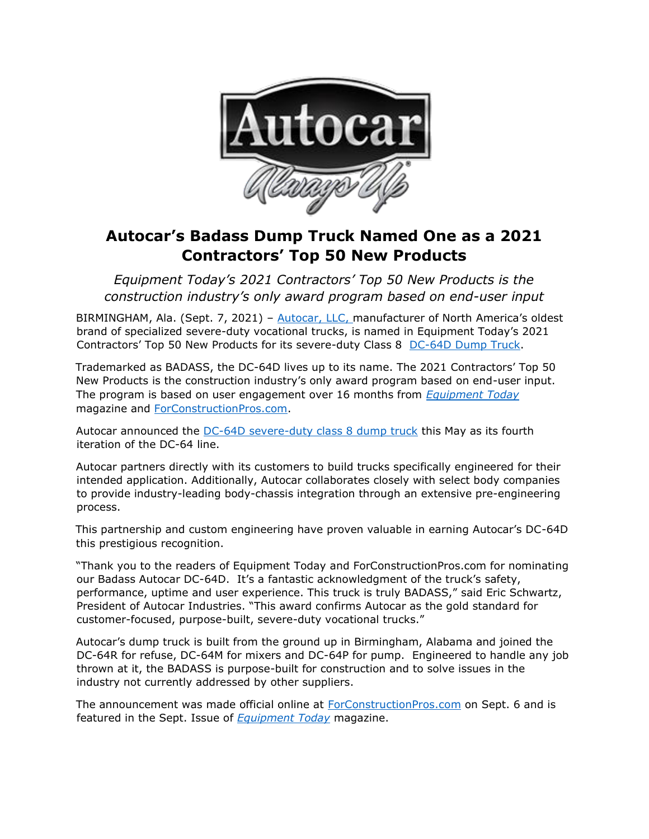

# **Autocar's Badass Dump Truck Named One as a 2021 Contractors' Top 50 New Products**

*Equipment Today's 2021 Contractors' Top 50 New Products is the construction industry's only award program based on end-user input* 

BIRMINGHAM, Ala. (Sept. 7, 2021) [–](https://www.autocartruck.com/autocar-difference/?utm_source=Autocar+Difference&utm_medium=Top+50+New+Products&utm_campaign=Autocar%2C+LLC+Dump+Truck+Named+One+of+Equipment+Today%E2%80%99s+2021+Contractors%E2%80%99+Top+50+New+Products&utm_id=Press+Release) [Autocar, LLC,](https://www.autocartruck.com/autocar-difference/?utm_source=Autocar+Difference&utm_medium=Top+50+New+Products&utm_campaign=Autocar%2C+LLC+Dump+Truck+Named+One+of+Equipment+Today%E2%80%99s+2021+Contractors%E2%80%99+Top+50+New+Products&utm_id=Press+Release) manufacturer of North America's oldest brand of specialized severe-duty vocational trucks, is named in Equipment Today's 2021 Contractors' Top 50 New Products for its severe-duty Class 8 [DC-64D Dump Truck.](https://www.autocartruck.com/news/autocar-announces-the-only-badass-dump-truck-in-north-america/?utm_source=DC-64D+Press+Release&utm_medium=Top+50+New+Products&utm_campaign=Autocar%2C+LLC+Dump+Truck+Named+One+of+Equipment+Today%E2%80%99s+2021+Contractors%E2%80%99+Top+50+New+Products&utm_id=Press+Release) 

Trademarked as BADASS, the DC-64D lives up to its name. The 2021 Contractors' Top 50 New Products is the construction industry's only award program based on end-user input. The program is based on user engagement over 16 months from *[Equipment Today](https://www.forconstructionpros.com/magazine)* magazine and [ForConstructionPros.com.](https://www.forconstructionpros.com/) 

Autocar announced the [DC-64D severe-duty class 8 dump truck](https://www.forconstructionpros.com/trucks/trucks-accessories/heavy-trucks-class-7-8/product/21201685/autocar-trucks-autocar-dc64d-severeduty-class-8-truck) this May as its fourth iteration of the DC-64 line.

Autocar partners directly with its customers to build trucks specifically engineered for their intended application. Additionally, Autocar collaborates closely with select body companies to provide industry-leading body-chassis integration through an extensive pre-engineering process.

This partnership and custom engineering have proven valuable in earning Autocar's DC-64D this prestigious recognition.

"Thank you to the readers of Equipment Today and ForConstructionPros.com for nominating our Badass Autocar DC-64D. It's a fantastic acknowledgment of the truck's safety, performance, uptime and user experience. This truck is truly BADASS," said Eric Schwartz, President of Autocar Industries. "This award confirms Autocar as the gold standard for customer-focused, purpose-built, severe-duty vocational trucks."

Autocar's dump truck is built from the ground up in Birmingham, Alabama and joined the DC-64R for refuse, DC-64M for mixers and DC-64P for pump. Engineered to handle any job thrown at it, the BADASS is purpose-built for construction and to solve issues in the industry not currently addressed by other suppliers.

The announcement was made official online at [ForConstructionPros.com](https://www.forconstructionpros.com/) [o](https://www.forconstructionpros.com/)n Sept. 6 and is featured in the Sept. Issue of *[Equipment Today](https://www.forconstructionpros.com/magazine)* magazine.